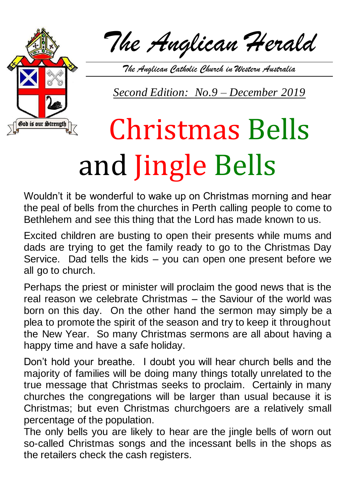

*The Anglican Herald*

*The Anglican Catholic Church in Western Australia*

*Second Edition: No.9 – December 2019*

## Christmas Bells and Jingle Bells

Wouldn't it be wonderful to wake up on Christmas morning and hear the peal of bells from the churches in Perth calling people to come to Bethlehem and see this thing that the Lord has made known to us.

Excited children are busting to open their presents while mums and dads are trying to get the family ready to go to the Christmas Day Service. Dad tells the kids – you can open one present before we all go to church.

Perhaps the priest or minister will proclaim the good news that is the real reason we celebrate Christmas – the Saviour of the world was born on this day. On the other hand the sermon may simply be a plea to promote the spirit of the season and try to keep it throughout the New Year. So many Christmas sermons are all about having a happy time and have a safe holiday.

Don't hold your breathe. I doubt you will hear church bells and the majority of families will be doing many things totally unrelated to the true message that Christmas seeks to proclaim. Certainly in many churches the congregations will be larger than usual because it is Christmas; but even Christmas churchgoers are a relatively small percentage of the population.

The only bells you are likely to hear are the jingle bells of worn out so-called Christmas songs and the incessant bells in the shops as the retailers check the cash registers.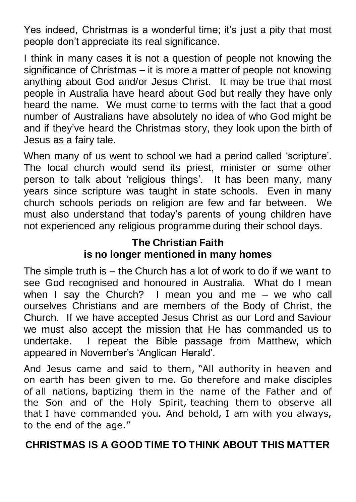Yes indeed, Christmas is a wonderful time; it's just a pity that most people don't appreciate its real significance.

I think in many cases it is not a question of people not knowing the significance of Christmas – it is more a matter of people not knowing anything about God and/or Jesus Christ. It may be true that most people in Australia have heard about God but really they have only heard the name. We must come to terms with the fact that a good number of Australians have absolutely no idea of who God might be and if they've heard the Christmas story, they look upon the birth of Jesus as a fairy tale.

When many of us went to school we had a period called 'scripture'. The local church would send its priest, minister or some other person to talk about 'religious things'. It has been many, many years since scripture was taught in state schools. Even in many church schools periods on religion are few and far between. We must also understand that today's parents of young children have not experienced any religious programme during their school days.

## **The Christian Faith is no longer mentioned in many homes**

The simple truth is – the Church has a lot of work to do if we want to see God recognised and honoured in Australia. What do I mean when I say the Church? I mean you and me – we who call ourselves Christians and are members of the Body of Christ, the Church. If we have accepted Jesus Christ as our Lord and Saviour we must also accept the mission that He has commanded us to undertake. I repeat the Bible passage from Matthew, which appeared in November's 'Anglican Herald'.

And Jesus came and said to them, "All authority in heaven and on earth has been given to me. Go therefore and make disciples of all nations, baptizing them in the name of the Father and of the Son and of the Holy Spirit, teaching them to observe all that I have commanded you. And behold, I am with you always, to the end of the age."

## **CHRISTMAS IS A GOOD TIME TO THINK ABOUT THIS MATTER**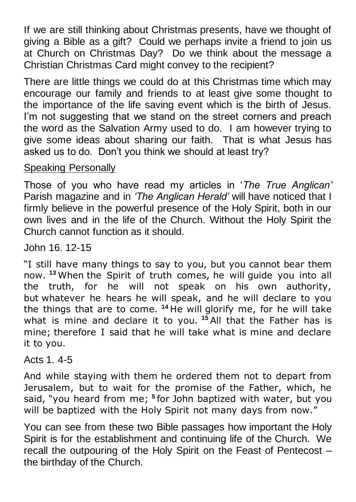If we are still thinking about Christmas presents, have we thought of giving a Bible as a gift? Could we perhaps invite a friend to join us at Church on Christmas Day? Do we think about the message a Christian Christmas Card might convey to the recipient?

There are little things we could do at this Christmas time which may encourage our family and friends to at least give some thought to the importance of the life saving event which is the birth of Jesus. I'm not suggesting that we stand on the street corners and preach the word as the Salvation Army used to do. I am however trying to give some ideas about sharing our faith. That is what Jesus has asked us to do. Don't you think we should at least try?

Speaking Personally

Those of you who have read my articles in '*The True Anglican'* Parish magazine and in *'The Anglican Herald'* will have noticed that I firmly believe in the powerful presence of the Holy Spirit, both in our own lives and in the life of the Church. Without the Holy Spirit the Church cannot function as it should.

John 16. 12-15

"I still have many things to say to you, but you cannot bear them now. **<sup>13</sup>** When the Spirit of truth comes, he will guide you into all the truth, for he will not speak on his own authority, but whatever he hears he will speak, and he will declare to you the things that are to come. **<sup>14</sup>** He will glorify me, for he will take what is mine and declare it to you. **<sup>15</sup>** All that the Father has is mine; therefore I said that he will take what is mine and declare it to you.

Acts 1. 4-5

And while staying with them he ordered them not to depart from Jerusalem, but to wait for the promise of the Father, which, he said, "you heard from me; **<sup>5</sup>** for John baptized with water, but you will be baptized with the Holy Spirit not many days from now."

You can see from these two Bible passages how important the Holy Spirit is for the establishment and continuing life of the Church. We recall the outpouring of the Holy Spirit on the Feast of Pentecost – the birthday of the Church.